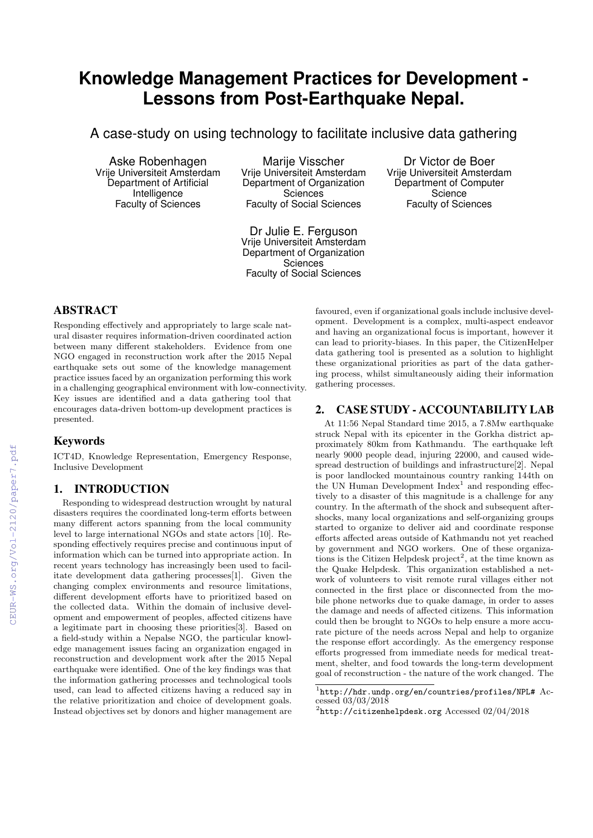# **Knowledge Management Practices for Development - Lessons from Post-Earthquake Nepal.**

A case-study on using technology to facilitate inclusive data gathering

Aske Robenhagen Vrije Universiteit Amsterdam Department of Artificial Intelligence Faculty of Sciences

Marije Visscher Vrije Universiteit Amsterdam Department of Organization **Sciences** Faculty of Social Sciences

Dr Julie E. Ferguson Vrije Universiteit Amsterdam Department of Organization **Sciences** Faculty of Social Sciences

Dr Victor de Boer Vrije Universiteit Amsterdam Department of Computer **Science** Faculty of Sciences

# ABSTRACT

Responding effectively and appropriately to large scale natural disaster requires information-driven coordinated action between many different stakeholders. Evidence from one NGO engaged in reconstruction work after the 2015 Nepal earthquake sets out some of the knowledge management practice issues faced by an organization performing this work in a challenging geographical environment with low-connectivity. Key issues are identified and a data gathering tool that encourages data-driven bottom-up development practices is presented.

# Keywords

ICT4D, Knowledge Representation, Emergency Response, Inclusive Development

# 1. INTRODUCTION

Responding to widespread destruction wrought by natural disasters requires the coordinated long-term efforts between many different actors spanning from the local community level to large international NGOs and state actors [10]. Responding effectively requires precise and continuous input of information which can be turned into appropriate action. In recent years technology has increasingly been used to facilitate development data gathering processes[1]. Given the changing complex environments and resource limitations, different development efforts have to prioritized based on the collected data. Within the domain of inclusive development and empowerment of peoples, affected citizens have a legitimate part in choosing these priorities[3]. Based on a field-study within a Nepalse NGO, the particular knowledge management issues facing an organization engaged in reconstruction and development work after the 2015 Nepal earthquake were identified. One of the key findings was that the information gathering processes and technological tools used, can lead to affected citizens having a reduced say in the relative prioritization and choice of development goals. Instead objectives set by donors and higher management are

favoured, even if organizational goals include inclusive development. Development is a complex, multi-aspect endeavor and having an organizational focus is important, however it can lead to priority-biases. In this paper, the CitizenHelper data gathering tool is presented as a solution to highlight these organizational priorities as part of the data gathering process, whilst simultaneously aiding their information gathering processes.

# 2. CASE STUDY - ACCOUNTABILITY LAB

At 11:56 Nepal Standard time 2015, a 7.8Mw earthquake struck Nepal with its epicenter in the Gorkha district approximately 80km from Kathmandu. The earthquake left nearly 9000 people dead, injuring 22000, and caused widespread destruction of buildings and infrastructure[2]. Nepal is poor landlocked mountainous country ranking 144th on the UN Human Development Index<sup>1</sup> and responding effectively to a disaster of this magnitude is a challenge for any country. In the aftermath of the shock and subsequent aftershocks, many local organizations and self-organizing groups started to organize to deliver aid and coordinate response efforts affected areas outside of Kathmandu not yet reached by government and NGO workers. One of these organizations is the Citizen Helpdesk project<sup>2</sup>, at the time known as the Quake Helpdesk. This organization established a network of volunteers to visit remote rural villages either not connected in the first place or disconnected from the mobile phone networks due to quake damage, in order to asses the damage and needs of affected citizens. This information could then be brought to NGOs to help ensure a more accurate picture of the needs across Nepal and help to organize the response effort accordingly. As the emergency response efforts progressed from immediate needs for medical treatment, shelter, and food towards the long-term development goal of reconstruction - the nature of the work changed. The

<sup>1</sup> http://hdr.undp.org/en/countries/profiles/NPL# Accessed 03/03/2018

 $^{2}$ http://citizenhelpdesk.org Accessed 02/04/2018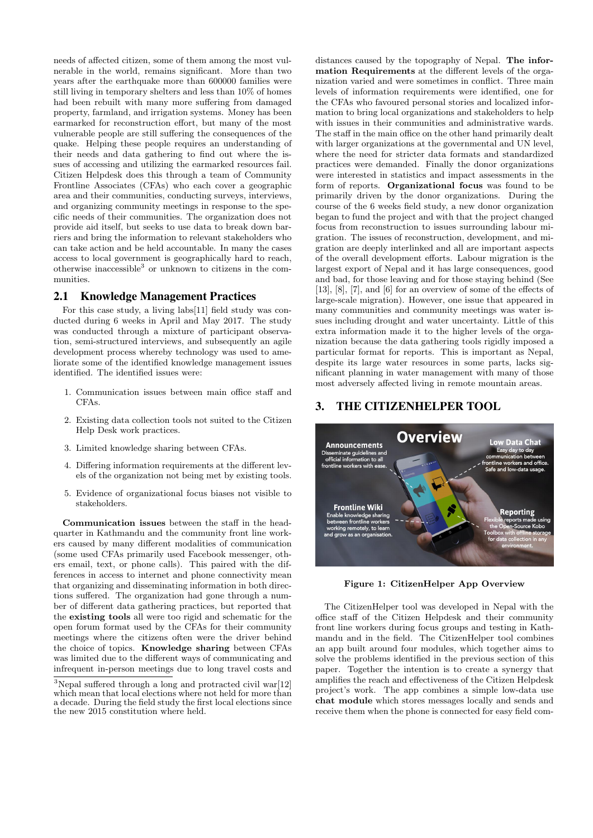needs of affected citizen, some of them among the most vulnerable in the world, remains significant. More than two years after the earthquake more than 600000 families were still living in temporary shelters and less than 10% of homes had been rebuilt with many more suffering from damaged property, farmland, and irrigation systems. Money has been earmarked for reconstruction effort, but many of the most vulnerable people are still suffering the consequences of the quake. Helping these people requires an understanding of their needs and data gathering to find out where the issues of accessing and utilizing the earmarked resources fail. Citizen Helpdesk does this through a team of Community Frontline Associates (CFAs) who each cover a geographic area and their communities, conducting surveys, interviews, and organizing community meetings in response to the specific needs of their communities. The organization does not provide aid itself, but seeks to use data to break down barriers and bring the information to relevant stakeholders who can take action and be held accountable. In many the cases access to local government is geographically hard to reach, otherwise inaccessible<sup>3</sup> or unknown to citizens in the communities.

### 2.1 Knowledge Management Practices

For this case study, a living labs[11] field study was conducted during 6 weeks in April and May 2017. The study was conducted through a mixture of participant observation, semi-structured interviews, and subsequently an agile development process whereby technology was used to ameliorate some of the identified knowledge management issues identified. The identified issues were:

- 1. Communication issues between main office staff and  $CFAs$
- 2. Existing data collection tools not suited to the Citizen Help Desk work practices.
- 3. Limited knowledge sharing between CFAs.
- 4. Differing information requirements at the different levels of the organization not being met by existing tools.
- 5. Evidence of organizational focus biases not visible to stakeholders.

Communication issues between the staff in the headquarter in Kathmandu and the community front line workers caused by many different modalities of communication (some used CFAs primarily used Facebook messenger, others email, text, or phone calls). This paired with the differences in access to internet and phone connectivity mean that organizing and disseminating information in both directions suffered. The organization had gone through a number of different data gathering practices, but reported that the existing tools all were too rigid and schematic for the open forum format used by the CFAs for their community meetings where the citizens often were the driver behind the choice of topics. Knowledge sharing between CFAs was limited due to the different ways of communicating and infrequent in-person meetings due to long travel costs and

distances caused by the topography of Nepal. The information Requirements at the different levels of the organization varied and were sometimes in conflict. Three main levels of information requirements were identified, one for the CFAs who favoured personal stories and localized information to bring local organizations and stakeholders to help with issues in their communities and administrative wards. The staff in the main office on the other hand primarily dealt with larger organizations at the governmental and UN level, where the need for stricter data formats and standardized practices were demanded. Finally the donor organizations were interested in statistics and impact assessments in the form of reports. Organizational focus was found to be primarily driven by the donor organizations. During the course of the 6 weeks field study, a new donor organization began to fund the project and with that the project changed focus from reconstruction to issues surrounding labour migration. The issues of reconstruction, development, and migration are deeply interlinked and all are important aspects of the overall development efforts. Labour migration is the largest export of Nepal and it has large consequences, good and bad, for those leaving and for those staying behind (See [13], [8], [7], and [6] for an overview of some of the effects of large-scale migration). However, one issue that appeared in many communities and community meetings was water issues including drought and water uncertainty. Little of this extra information made it to the higher levels of the organization because the data gathering tools rigidly imposed a particular format for reports. This is important as Nepal, despite its large water resources in some parts, lacks significant planning in water management with many of those most adversely affected living in remote mountain areas.

#### 3. THE CITIZENHELPER TOOL



Figure 1: CitizenHelper App Overview

The CitizenHelper tool was developed in Nepal with the office staff of the Citizen Helpdesk and their community front line workers during focus groups and testing in Kathmandu and in the field. The CitizenHelper tool combines an app built around four modules, which together aims to solve the problems identified in the previous section of this paper. Together the intention is to create a synergy that amplifies the reach and effectiveness of the Citizen Helpdesk project's work. The app combines a simple low-data use chat module which stores messages locally and sends and receive them when the phone is connected for easy field com-

 $3$ Nepal suffered through a long and protracted civil war[12] which mean that local elections where not held for more than a decade. During the field study the first local elections since the new 2015 constitution where held.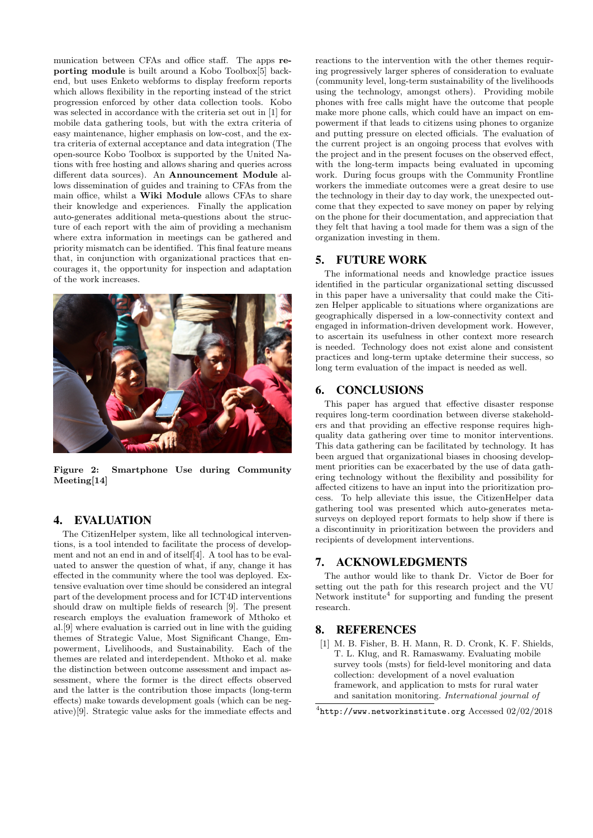munication between CFAs and office staff. The apps reporting module is built around a Kobo Toolbox[5] backend, but uses Enketo webforms to display freeform reports which allows flexibility in the reporting instead of the strict progression enforced by other data collection tools. Kobo was selected in accordance with the criteria set out in [1] for mobile data gathering tools, but with the extra criteria of easy maintenance, higher emphasis on low-cost, and the extra criteria of external acceptance and data integration (The open-source Kobo Toolbox is supported by the United Nations with free hosting and allows sharing and queries across different data sources). An Announcement Module allows dissemination of guides and training to CFAs from the main office, whilst a Wiki Module allows CFAs to share their knowledge and experiences. Finally the application auto-generates additional meta-questions about the structure of each report with the aim of providing a mechanism where extra information in meetings can be gathered and priority mismatch can be identified. This final feature means that, in conjunction with organizational practices that encourages it, the opportunity for inspection and adaptation of the work increases.



Figure 2: Smartphone Use during Community Meeting[14]

# 4. EVALUATION

The CitizenHelper system, like all technological interventions, is a tool intended to facilitate the process of development and not an end in and of itself[4]. A tool has to be evaluated to answer the question of what, if any, change it has effected in the community where the tool was deployed. Extensive evaluation over time should be considered an integral part of the development process and for ICT4D interventions should draw on multiple fields of research [9]. The present research employs the evaluation framework of Mthoko et al.[9] where evaluation is carried out in line with the guiding themes of Strategic Value, Most Significant Change, Empowerment, Livelihoods, and Sustainability. Each of the themes are related and interdependent. Mthoko et al. make the distinction between outcome assessment and impact assessment, where the former is the direct effects observed and the latter is the contribution those impacts (long-term effects) make towards development goals (which can be negative)[9]. Strategic value asks for the immediate effects and

reactions to the intervention with the other themes requiring progressively larger spheres of consideration to evaluate (community level, long-term sustainability of the livelihoods using the technology, amongst others). Providing mobile phones with free calls might have the outcome that people make more phone calls, which could have an impact on empowerment if that leads to citizens using phones to organize and putting pressure on elected officials. The evaluation of the current project is an ongoing process that evolves with the project and in the present focuses on the observed effect, with the long-term impacts being evaluated in upcoming work. During focus groups with the Community Frontline workers the immediate outcomes were a great desire to use the technology in their day to day work, the unexpected outcome that they expected to save money on paper by relying on the phone for their documentation, and appreciation that they felt that having a tool made for them was a sign of the organization investing in them.

#### 5. FUTURE WORK

The informational needs and knowledge practice issues identified in the particular organizational setting discussed in this paper have a universality that could make the Citizen Helper applicable to situations where organizations are geographically dispersed in a low-connectivity context and engaged in information-driven development work. However, to ascertain its usefulness in other context more research is needed. Technology does not exist alone and consistent practices and long-term uptake determine their success, so long term evaluation of the impact is needed as well.

#### 6. CONCLUSIONS

This paper has argued that effective disaster response requires long-term coordination between diverse stakeholders and that providing an effective response requires highquality data gathering over time to monitor interventions. This data gathering can be facilitated by technology. It has been argued that organizational biases in choosing development priorities can be exacerbated by the use of data gathering technology without the flexibility and possibility for affected citizens to have an input into the prioritization process. To help alleviate this issue, the CitizenHelper data gathering tool was presented which auto-generates metasurveys on deployed report formats to help show if there is a discontinuity in prioritization between the providers and recipients of development interventions.

# 7. ACKNOWLEDGMENTS

The author would like to thank Dr. Victor de Boer for setting out the path for this research project and the VU Network institute<sup>4</sup> for supporting and funding the present research.

# 8. REFERENCES

[1] M. B. Fisher, B. H. Mann, R. D. Cronk, K. F. Shields, T. L. Klug, and R. Ramaswamy. Evaluating mobile survey tools (msts) for field-level monitoring and data collection: development of a novel evaluation framework, and application to msts for rural water and sanitation monitoring. International journal of

 $4$ http://www.networkinstitute.org Accessed 02/02/2018